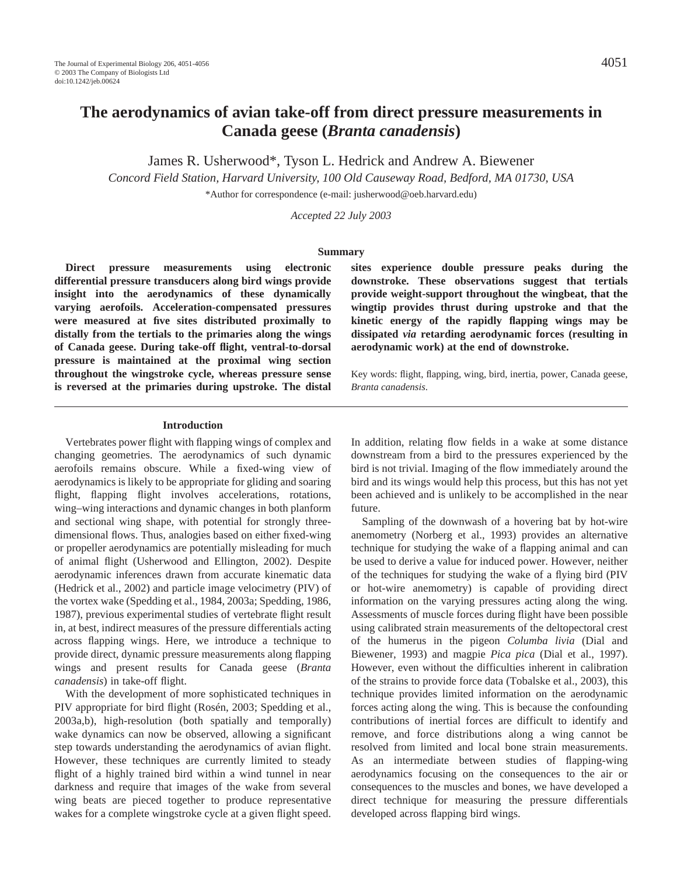# **The aerodynamics of avian take-off from direct pressure measurements in Canada geese (***Branta canadensis***)**

James R. Usherwood\*, Tyson L. Hedrick and Andrew A. Biewener

*Concord Field Station, Harvard University, 100 Old Causeway Road, Bedford, MA 01730, USA*

\*Author for correspondence (e-mail: jusherwood@oeb.harvard.edu)

*Accepted 22 July 2003*

### **Summary**

**Direct pressure measurements using electronic differential pressure transducers along bird wings provide insight into the aerodynamics of these dynamically varying aerofoils. Acceleration-compensated pressures were measured at five sites distributed proximally to distally from the tertials to the primaries along the wings of Canada geese. During take-off flight, ventral-to-dorsal pressure is maintained at the proximal wing section throughout the wingstroke cycle, whereas pressure sense is reversed at the primaries during upstroke. The distal**

**Introduction**

Vertebrates power flight with flapping wings of complex and changing geometries. The aerodynamics of such dynamic aerofoils remains obscure. While a fixed-wing view of aerodynamics is likely to be appropriate for gliding and soaring flight, flapping flight involves accelerations, rotations, wing–wing interactions and dynamic changes in both planform and sectional wing shape, with potential for strongly threedimensional flows. Thus, analogies based on either fixed-wing or propeller aerodynamics are potentially misleading for much of animal flight (Usherwood and Ellington, 2002). Despite aerodynamic inferences drawn from accurate kinematic data (Hedrick et al., 2002) and particle image velocimetry (PIV) of the vortex wake (Spedding et al., 1984, 2003a; Spedding, 1986, 1987), previous experimental studies of vertebrate flight result in, at best, indirect measures of the pressure differentials acting across flapping wings. Here, we introduce a technique to provide direct, dynamic pressure measurements along flapping wings and present results for Canada geese (*Branta canadensis*) in take-off flight.

With the development of more sophisticated techniques in PIV appropriate for bird flight (Rosén, 2003; Spedding et al., 2003a,b), high-resolution (both spatially and temporally) wake dynamics can now be observed, allowing a significant step towards understanding the aerodynamics of avian flight. However, these techniques are currently limited to steady flight of a highly trained bird within a wind tunnel in near darkness and require that images of the wake from several wing beats are pieced together to produce representative wakes for a complete wingstroke cycle at a given flight speed.

**sites experience double pressure peaks during the downstroke. These observations suggest that tertials provide weight-support throughout the wingbeat, that the wingtip provides thrust during upstroke and that the kinetic energy of the rapidly flapping wings may be dissipated** *via* **retarding aerodynamic forces (resulting in aerodynamic work) at the end of downstroke.**

Key words: flight, flapping, wing, bird, inertia, power, Canada geese, *Branta canadensis*.

In addition, relating flow fields in a wake at some distance downstream from a bird to the pressures experienced by the bird is not trivial. Imaging of the flow immediately around the bird and its wings would help this process, but this has not yet been achieved and is unlikely to be accomplished in the near future.

Sampling of the downwash of a hovering bat by hot-wire anemometry (Norberg et al., 1993) provides an alternative technique for studying the wake of a flapping animal and can be used to derive a value for induced power. However, neither of the techniques for studying the wake of a flying bird (PIV or hot-wire anemometry) is capable of providing direct information on the varying pressures acting along the wing. Assessments of muscle forces during flight have been possible using calibrated strain measurements of the deltopectoral crest of the humerus in the pigeon *Columba livia* (Dial and Biewener, 1993) and magpie *Pica pica* (Dial et al., 1997). However, even without the difficulties inherent in calibration of the strains to provide force data (Tobalske et al., 2003), this technique provides limited information on the aerodynamic forces acting along the wing. This is because the confounding contributions of inertial forces are difficult to identify and remove, and force distributions along a wing cannot be resolved from limited and local bone strain measurements. As an intermediate between studies of flapping-wing aerodynamics focusing on the consequences to the air or consequences to the muscles and bones, we have developed a direct technique for measuring the pressure differentials developed across flapping bird wings.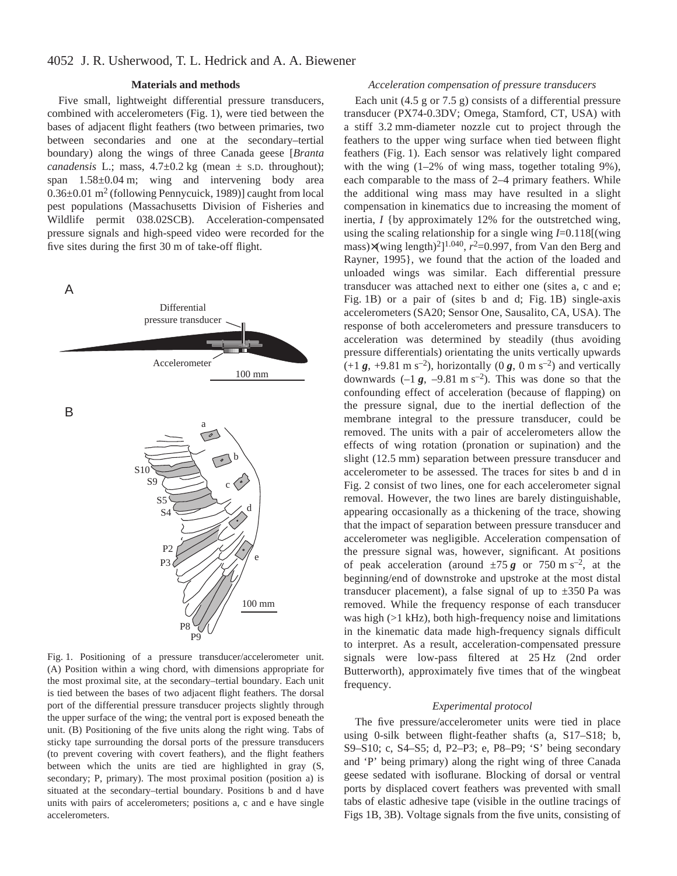# 4052 J. R. Usherwood, T. L. Hedrick and A. A. Biewener

### **Materials and methods**

Five small, lightweight differential pressure transducers, combined with accelerometers (Fig. 1), were tied between the bases of adjacent flight feathers (two between primaries, two between secondaries and one at the secondary–tertial boundary) along the wings of three Canada geese [*Branta canadensis* L.; mass,  $4.7\pm0.2$  kg (mean  $\pm$  s.D. throughout); span  $1.58\pm0.04$  m; wing and intervening body area  $0.36\pm0.01$  m<sup>2</sup> (following Pennycuick, 1989)] caught from local pest populations (Massachusetts Division of Fisheries and Wildlife permit 038.02SCB). Acceleration-compensated pressure signals and high-speed video were recorded for the five sites during the first  $30 \text{ m}$  of take-off flight.



Fig. 1. Positioning of a pressure transducer/accelerometer unit. (A) Position within a wing chord, with dimensions appropriate for the most proximal site, at the secondary–tertial boundary. Each unit is tied between the bases of two adjacent flight feathers. The dorsal port of the differential pressure transducer projects slightly through the upper surface of the wing; the ventral port is exposed beneath the unit. (B) Positioning of the five units along the right wing. Tabs of sticky tape surrounding the dorsal ports of the pressure transducers (to prevent covering with covert feathers), and the flight feathers between which the units are tied are highlighted in gray (S, secondary; P, primary). The most proximal position (position a) is situated at the secondary–tertial boundary. Positions b and d have units with pairs of accelerometers; positions a, c and e have single accelerometers.

### *Acceleration compensation of pressure transducers*

Each unit (4.5  $g$  or 7.5  $g$ ) consists of a differential pressure transducer (PX74-0.3DV; Omega, Stamford, CT, USA) with a stiff 3.2 mm-diameter nozzle cut to project through the feathers to the upper wing surface when tied between flight feathers (Fig. 1). Each sensor was relatively light compared with the wing  $(1-2\% \text{ of wing mass, together totaling } 9\%).$ each comparable to the mass of 2–4 primary feathers. While the additional wing mass may have resulted in a slight compensation in kinematics due to increasing the moment of inertia, *I* {by approximately 12% for the outstretched wing, using the scaling relationship for a single wing *I*=0.118[(wing mass) $\times$ (wing length)<sup>2</sup>]<sup>1.040</sup>,  $r^2$ =0.997, from Van den Berg and Rayner, 1995}, we found that the action of the loaded and unloaded wings was similar. Each differential pressure transducer was attached next to either one (sites a, c and e; Fig. 1B) or a pair of (sites b and d; Fig. 1B) single-axis accelerometers (SA20; Sensor One, Sausalito, CA, USA). The response of both accelerometers and pressure transducers to acceleration was determined by steadily (thus avoiding pressure differentials) orientating the units vertically upwards  $(+1\,\text{g}, +9.81\,\text{m s}^{-2})$ , horizontally  $(0\,\text{g}, 0\,\text{m s}^{-2})$  and vertically downwards  $(-1\ g, -9.81 \text{ m s}^{-2})$ . This was done so that the confounding effect of acceleration (because of flapping) on the pressure signal, due to the inertial deflection of the membrane integral to the pressure transducer, could be removed. The units with a pair of accelerometers allow the effects of wing rotation (pronation or supination) and the slight (12.5 mm) separation between pressure transducer and accelerometer to be assessed. The traces for sites b and d in Fig. 2 consist of two lines, one for each accelerometer signal removal. However, the two lines are barely distinguishable, appearing occasionally as a thickening of the trace, showing that the impact of separation between pressure transducer and accelerometer was negligible. Acceleration compensation of the pressure signal was, however, significant. At positions of peak acceleration (around  $\pm 75g$  or 750 m s<sup>-2</sup>, at the beginning/end of downstroke and upstroke at the most distal transducer placement), a false signal of up to  $\pm 350$  Pa was removed. While the frequency response of each transducer was high  $(>1$  kHz), both high-frequency noise and limitations in the kinematic data made high-frequency signals difficult to interpret. As a result, acceleration-compensated pressure signals were low-pass filtered at 25 Hz (2nd order Butterworth), approximately five times that of the wingbeat frequency.

#### *Experimental protocol*

The five pressure/accelerometer units were tied in place using 0-silk between flight-feather shafts (a, S17–S18; b, S9–S10; c, S4–S5; d, P2–P3; e, P8–P9; 'S' being secondary and 'P' being primary) along the right wing of three Canada geese sedated with isoflurane. Blocking of dorsal or ventral ports by displaced covert feathers was prevented with small tabs of elastic adhesive tape (visible in the outline tracings of Figs 1B, 3B). Voltage signals from the five units, consisting of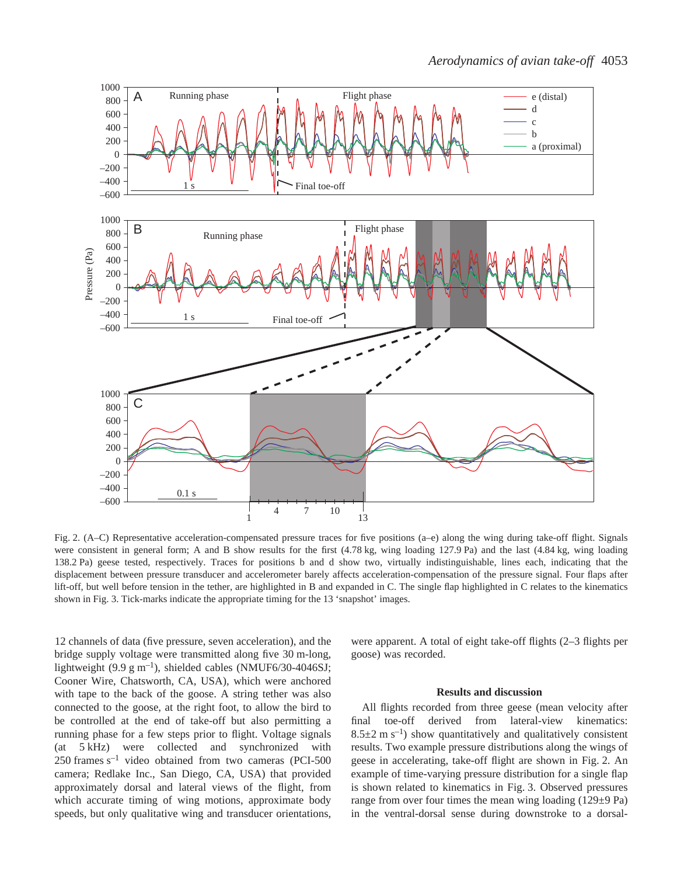

Fig. 2. (A–C) Representative acceleration-compensated pressure traces for five positions (a–e) along the wing during take-off flight. Signals were consistent in general form; A and B show results for the first  $(4.78 \text{ kg}, \text{wing loading } 127.9 \text{ Pa})$  and the last  $(4.84 \text{ kg}, \text{wing loading } 127.9 \text{ Pa})$ 138.2·Pa) geese tested, respectively. Traces for positions b and d show two, virtually indistinguishable, lines each, indicating that the displacement between pressure transducer and accelerometer barely affects acceleration-compensation of the pressure signal. Four flaps after lift-off, but well before tension in the tether, are highlighted in B and expanded in C. The single flap highlighted in C relates to the kinematics shown in Fig. 3. Tick-marks indicate the appropriate timing for the 13 'snapshot' images.

12 channels of data (five pressure, seven acceleration), and the bridge supply voltage were transmitted along five 30 m-long, lightweight (9.9  $g$  m<sup>-1</sup>), shielded cables (NMUF6/30-4046SJ; Cooner Wire, Chatsworth, CA, USA), which were anchored with tape to the back of the goose. A string tether was also connected to the goose, at the right foot, to allow the bird to be controlled at the end of take-off but also permitting a running phase for a few steps prior to flight. Voltage signals (at 5 kHz) were collected and synchronized with  $250$  frames  $s^{-1}$  video obtained from two cameras (PCI-500 camera; Redlake Inc., San Diego, CA, USA) that provided approximately dorsal and lateral views of the flight, from which accurate timing of wing motions, approximate body speeds, but only qualitative wing and transducer orientations, were apparent. A total of eight take-off flights (2–3 flights per goose) was recorded.

### **Results and discussion**

All flights recorded from three geese (mean velocity after final toe-off derived from lateral-view kinematics:  $8.5\pm2~\text{m s}^{-1}$ ) show quantitatively and qualitatively consistent results. Two example pressure distributions along the wings of geese in accelerating, take-off flight are shown in Fig. 2. An example of time-varying pressure distribution for a single flap is shown related to kinematics in Fig. 3. Observed pressures range from over four times the mean wing loading  $(129\pm9 \text{ Pa})$ in the ventral-dorsal sense during downstroke to a dorsal-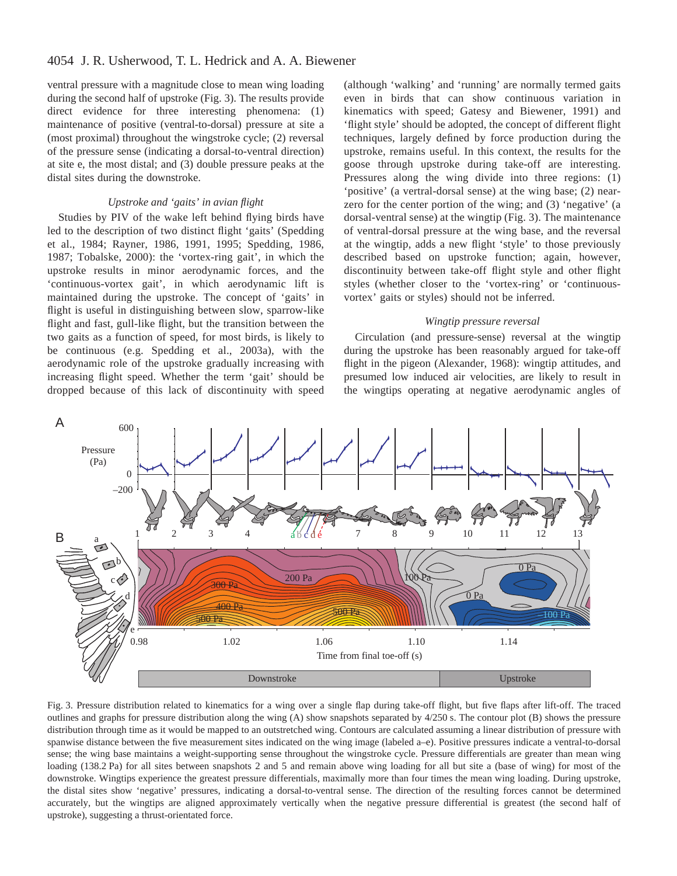# 4054 J. R. Usherwood, T. L. Hedrick and A. A. Biewener

ventral pressure with a magnitude close to mean wing loading during the second half of upstroke (Fig. 3). The results provide direct evidence for three interesting phenomena: (1) maintenance of positive (ventral-to-dorsal) pressure at site a (most proximal) throughout the wingstroke cycle; (2) reversal of the pressure sense (indicating a dorsal-to-ventral direction) at site e, the most distal; and (3) double pressure peaks at the distal sites during the downstroke.

## *Upstroke and 'gaits' in avian flight*

Studies by PIV of the wake left behind flying birds have led to the description of two distinct flight 'gaits' (Spedding et al., 1984; Rayner, 1986, 1991, 1995; Spedding, 1986, 1987; Tobalske, 2000): the 'vortex-ring gait', in which the upstroke results in minor aerodynamic forces, and the 'continuous-vortex gait', in which aerodynamic lift is maintained during the upstroke. The concept of 'gaits' in flight is useful in distinguishing between slow, sparrow-like flight and fast, gull-like flight, but the transition between the two gaits as a function of speed, for most birds, is likely to be continuous (e.g. Spedding et al., 2003a), with the aerodynamic role of the upstroke gradually increasing with increasing flight speed. Whether the term 'gait' should be dropped because of this lack of discontinuity with speed

(although 'walking' and 'running' are normally termed gaits even in birds that can show continuous variation in kinematics with speed; Gatesy and Biewener, 1991) and 'flight style' should be adopted, the concept of different flight techniques, largely defined by force production during the upstroke, remains useful. In this context, the results for the goose through upstroke during take-off are interesting. Pressures along the wing divide into three regions: (1) 'positive' (a vertral-dorsal sense) at the wing base; (2) nearzero for the center portion of the wing; and (3) 'negative' (a dorsal-ventral sense) at the wingtip (Fig. 3). The maintenance of ventral-dorsal pressure at the wing base, and the reversal at the wingtip, adds a new flight 'style' to those previously described based on upstroke function; again, however, discontinuity between take-off flight style and other flight styles (whether closer to the 'vortex-ring' or 'continuousvortex' gaits or styles) should not be inferred.

### *Wingtip pressure reversal*

Circulation (and pressure-sense) reversal at the wingtip during the upstroke has been reasonably argued for take-off flight in the pigeon (Alexander, 1968): wingtip attitudes, and presumed low induced air velocities, are likely to result in the wingtips operating at negative aerodynamic angles of



Fig. 3. Pressure distribution related to kinematics for a wing over a single flap during take-off flight, but five flaps after lift-off. The traced outlines and graphs for pressure distribution along the wing (A) show snapshots separated by 4/250 s. The contour plot (B) shows the pressure distribution through time as it would be mapped to an outstretched wing. Contours are calculated assuming a linear distribution of pressure with spanwise distance between the five measurement sites indicated on the wing image (labeled a–e). Positive pressures indicate a ventral-to-dorsal sense; the wing base maintains a weight-supporting sense throughout the wingstroke cycle. Pressure differentials are greater than mean wing loading (138.2 Pa) for all sites between snapshots 2 and 5 and remain above wing loading for all but site a (base of wing) for most of the downstroke. Wingtips experience the greatest pressure differentials, maximally more than four times the mean wing loading. During upstroke, the distal sites show 'negative' pressures, indicating a dorsal-to-ventral sense. The direction of the resulting forces cannot be determined accurately, but the wingtips are aligned approximately vertically when the negative pressure differential is greatest (the second half of upstroke), suggesting a thrust-orientated force.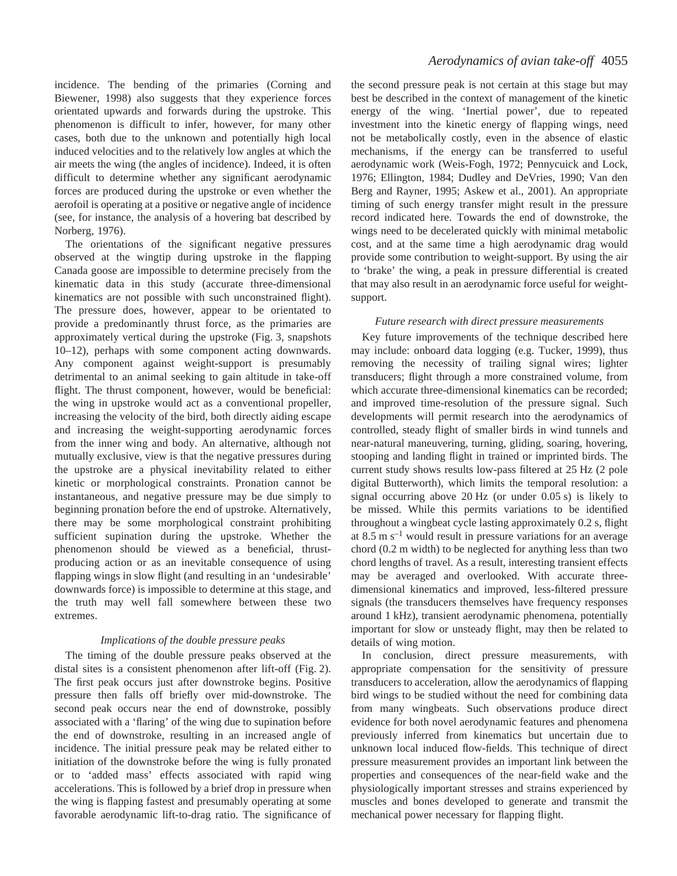incidence. The bending of the primaries (Corning and Biewener, 1998) also suggests that they experience forces orientated upwards and forwards during the upstroke. This phenomenon is difficult to infer, however, for many other cases, both due to the unknown and potentially high local induced velocities and to the relatively low angles at which the air meets the wing (the angles of incidence). Indeed, it is often difficult to determine whether any significant aerodynamic forces are produced during the upstroke or even whether the aerofoil is operating at a positive or negative angle of incidence (see, for instance, the analysis of a hovering bat described by Norberg, 1976).

The orientations of the significant negative pressures observed at the wingtip during upstroke in the flapping Canada goose are impossible to determine precisely from the kinematic data in this study (accurate three-dimensional kinematics are not possible with such unconstrained flight). The pressure does, however, appear to be orientated to provide a predominantly thrust force, as the primaries are approximately vertical during the upstroke (Fig. 3, snapshots 10–12), perhaps with some component acting downwards. Any component against weight-support is presumably detrimental to an animal seeking to gain altitude in take-off flight. The thrust component, however, would be beneficial: the wing in upstroke would act as a conventional propeller, increasing the velocity of the bird, both directly aiding escape and increasing the weight-supporting aerodynamic forces from the inner wing and body. An alternative, although not mutually exclusive, view is that the negative pressures during the upstroke are a physical inevitability related to either kinetic or morphological constraints. Pronation cannot be instantaneous, and negative pressure may be due simply to beginning pronation before the end of upstroke. Alternatively, there may be some morphological constraint prohibiting sufficient supination during the upstroke. Whether the phenomenon should be viewed as a beneficial, thrustproducing action or as an inevitable consequence of using flapping wings in slow flight (and resulting in an 'undesirable' downwards force) is impossible to determine at this stage, and the truth may well fall somewhere between these two extremes.

### *Implications of the double pressure peaks*

The timing of the double pressure peaks observed at the distal sites is a consistent phenomenon after lift-off (Fig. 2). The first peak occurs just after downstroke begins. Positive pressure then falls off briefly over mid-downstroke. The second peak occurs near the end of downstroke, possibly associated with a 'flaring' of the wing due to supination before the end of downstroke, resulting in an increased angle of incidence. The initial pressure peak may be related either to initiation of the downstroke before the wing is fully pronated or to 'added mass' effects associated with rapid wing accelerations. This is followed by a brief drop in pressure when the wing is flapping fastest and presumably operating at some favorable aerodynamic lift-to-drag ratio. The significance of

the second pressure peak is not certain at this stage but may best be described in the context of management of the kinetic energy of the wing. 'Inertial power', due to repeated investment into the kinetic energy of flapping wings, need not be metabolically costly, even in the absence of elastic mechanisms, if the energy can be transferred to useful aerodynamic work (Weis-Fogh, 1972; Pennycuick and Lock, 1976; Ellington, 1984; Dudley and DeVries, 1990; Van den Berg and Rayner, 1995; Askew et al., 2001). An appropriate timing of such energy transfer might result in the pressure record indicated here. Towards the end of downstroke, the wings need to be decelerated quickly with minimal metabolic cost, and at the same time a high aerodynamic drag would provide some contribution to weight-support. By using the air to 'brake' the wing, a peak in pressure differential is created that may also result in an aerodynamic force useful for weightsupport.

### *Future research with direct pressure measurements*

Key future improvements of the technique described here may include: onboard data logging (e.g. Tucker, 1999), thus removing the necessity of trailing signal wires; lighter transducers; flight through a more constrained volume, from which accurate three-dimensional kinematics can be recorded; and improved time-resolution of the pressure signal. Such developments will permit research into the aerodynamics of controlled, steady flight of smaller birds in wind tunnels and near-natural maneuvering, turning, gliding, soaring, hovering, stooping and landing flight in trained or imprinted birds. The current study shows results low-pass filtered at 25 Hz (2 pole digital Butterworth), which limits the temporal resolution: a signal occurring above  $20~\text{Hz}$  (or under 0.05 s) is likely to be missed. While this permits variations to be identified throughout a wingbeat cycle lasting approximately  $0.2$  s, flight at  $8.5~\mathrm{m~s^{-1}}$  would result in pressure variations for an average chord  $(0.2 \text{ m width})$  to be neglected for anything less than two chord lengths of travel. As a result, interesting transient effects may be averaged and overlooked. With accurate threedimensional kinematics and improved, less-filtered pressure signals (the transducers themselves have frequency responses around 1 kHz), transient aerodynamic phenomena, potentially important for slow or unsteady flight, may then be related to details of wing motion.

In conclusion, direct pressure measurements, with appropriate compensation for the sensitivity of pressure transducers to acceleration, allow the aerodynamics of flapping bird wings to be studied without the need for combining data from many wingbeats. Such observations produce direct evidence for both novel aerodynamic features and phenomena previously inferred from kinematics but uncertain due to unknown local induced flow-fields. This technique of direct pressure measurement provides an important link between the properties and consequences of the near-field wake and the physiologically important stresses and strains experienced by muscles and bones developed to generate and transmit the mechanical power necessary for flapping flight.